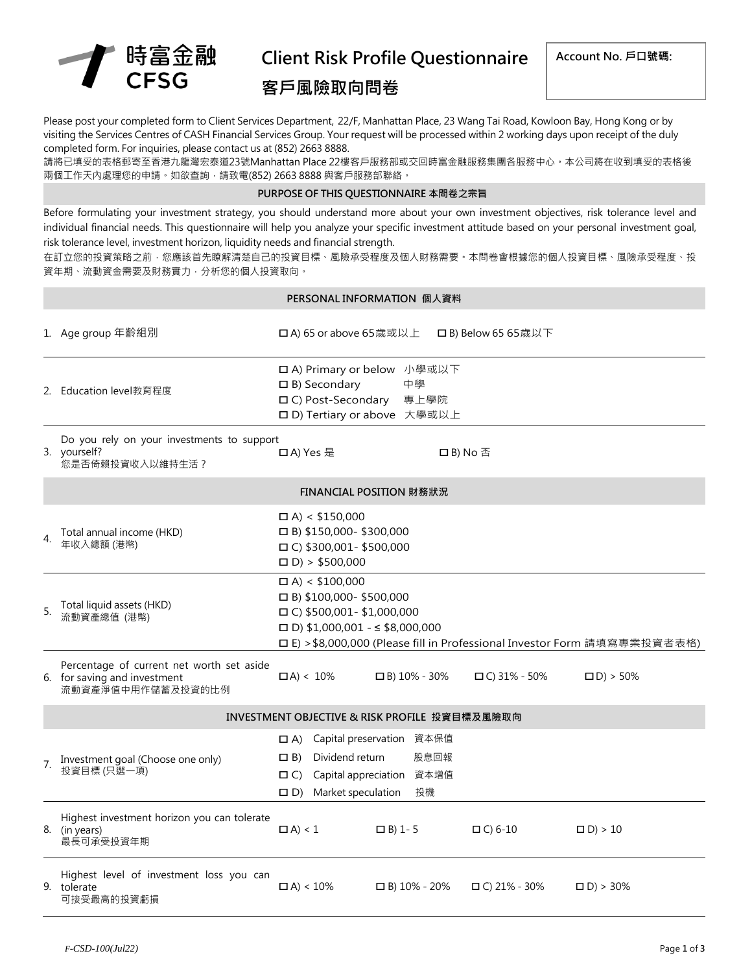

# Client Risk Profile Questionnaire 客戶風險取向問卷

Please post your completed form to Client Services Department, 22/F, Manhattan Place, 23 Wang Tai Road, Kowloon Bay, Hong Kong or by visiting the Services Centres of CASH Financial Services Group. Your request will be processed within 2 working days upon receipt of the duly completed form. For inquiries, please contact us at (852) 2663 8888.

請將已填妥的表格郵寄至香港九龍灣宏泰道23號Manhattan Place 22樓客戶服務部或交回時富金融服務集團各服務中心。本公司將在收到填妥的表格後 兩個工作天內處理您的申請。如欲查詢,請致電(852) 2663 8888 與客戶服務部聯絡。

#### PURPOSE OF THIS QUESTIONNAIRE 本問卷之宗旨

Before formulating your investment strategy, you should understand more about your own investment objectives, risk tolerance level and individual financial needs. This questionnaire will help you analyze your specific investment attitude based on your personal investment goal, risk tolerance level, investment horizon, liquidity needs and financial strength.

在訂立您的投資策略之前,您應該首先瞭解清楚自己的投資目標、風險承受程度及個人財務需要。本問卷會根據您的個人投資目標、風險承受程度、投 資年期、流動資金需要及財務實力,分析您的個人投資取向。

#### PERSONAL INFORMATION 個人資料

|                | 1. Age group 年齡組別                                                                              | □ A) 65 or above 65歳或以上                                                                                                                                                                                         |                                                 | □B) Below 65 65歳以下  |                 |  |  |
|----------------|------------------------------------------------------------------------------------------------|-----------------------------------------------------------------------------------------------------------------------------------------------------------------------------------------------------------------|-------------------------------------------------|---------------------|-----------------|--|--|
|                | 2. Education level教育程度                                                                         | □ A) Primary or below 小學或以下<br>$\Box$ B) Secondary<br>□ C) Post-Secondary<br>□ D) Tertiary or above 大學或以上                                                                                                       | 中學<br>專上學院                                      |                     |                 |  |  |
|                | Do you rely on your investments to support<br>3. yourself?<br>您是否倚賴投資收入以維持生活?                  | 口A) Yes 是                                                                                                                                                                                                       | □B) No 否                                        |                     |                 |  |  |
|                | FINANCIAL POSITION 財務狀況                                                                        |                                                                                                                                                                                                                 |                                                 |                     |                 |  |  |
| $\overline{4}$ | Total annual income (HKD)<br>年收入總額 (港幣)                                                        | $\Box$ A) < \$150,000<br>$\Box$ B) \$150,000-\$300,000<br>$\Box$ C) \$300,001 - \$500,000<br>$D$ > \$500,000                                                                                                    |                                                 |                     |                 |  |  |
| 5.             | Total liquid assets (HKD)<br>流動資產總值 (港幣)                                                       | $\Box$ A) < \$100,000<br>$\Box$ B) \$100,000-\$500,000<br>$\Box$ C) \$500,001-\$1,000,000<br>$\Box$ D) \$1,000,001 - < \$8,000,000<br>□ E) > \$8,000,000 (Please fill in Professional Investor Form 請填寫專業投資者表格) |                                                 |                     |                 |  |  |
|                | Percentage of current net worth set aside<br>6. for saving and investment<br>流動資產淨值中用作儲蓄及投資的比例 | $\Box A$ < 10%                                                                                                                                                                                                  | $\Box$ B) 10% - 30%                             | $\Box$ C) 31% - 50% | $\Box$ D) > 50% |  |  |
|                | INVESTMENT OBJECTIVE & RISK PROFILE 投資目標及風險取向                                                  |                                                                                                                                                                                                                 |                                                 |                     |                 |  |  |
| 7.             | Investment goal (Choose one only)<br>投資目標 (只選一項)                                               | $\Box A$<br>Dividend return<br>$\Box$ B)<br>Capital appreciation<br>$\Box$ C)<br>Market speculation<br>$\Box$ D)                                                                                                | Capital preservation 資本保值<br>股息回報<br>資本增值<br>投機 |                     |                 |  |  |
|                | Highest investment horizon you can tolerate<br>8. (in years)<br>最長可承受投資年期                      | $\Box A$ < 1                                                                                                                                                                                                    | $\Box$ B) 1-5                                   | $\Box$ C) 6-10      | $\Box$ D) > 10  |  |  |
|                | Highest level of investment loss you can<br>9. tolerate<br>可接受最高的投資虧損                          | $\Box$ A) < 10%                                                                                                                                                                                                 | $\Box$ B) 10% - 20%                             | $\Box$ C) 21% - 30% | $\Box$ D) > 30% |  |  |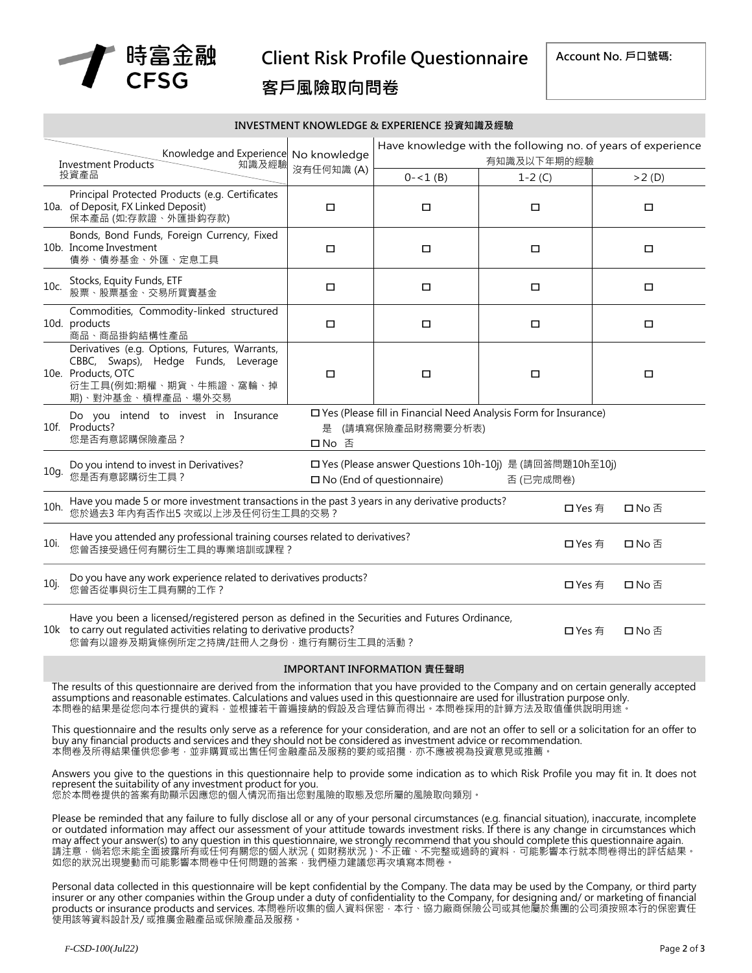

Client Risk Profile Questionnaire

## 客戶風險取向問卷

Account No. 戶口號碼:

#### INVESTMENT KNOWLEDGE & EXPERIENCE 投資知識及經驗

| Knowledge and Experience<br><b>Investment Products</b><br>知識及經驗<br>投資產品 |                                                                                                                                                                                                                                     | No knowledge<br>沒有任何知識(A) | Have knowledge with the following no. of years of experience<br>有知識及以下年期的經驗           |          |       |  |  |
|-------------------------------------------------------------------------|-------------------------------------------------------------------------------------------------------------------------------------------------------------------------------------------------------------------------------------|---------------------------|---------------------------------------------------------------------------------------|----------|-------|--|--|
|                                                                         |                                                                                                                                                                                                                                     |                           | $0 - 1$ (B)                                                                           | $1-2(C)$ | >2(D) |  |  |
|                                                                         | Principal Protected Products (e.g. Certificates<br>10a. of Deposit, FX Linked Deposit)<br>保本產品 (如:存款證、外匯掛鈎存款)                                                                                                                       | $\Box$                    | □                                                                                     | $\Box$   | □     |  |  |
|                                                                         | Bonds, Bond Funds, Foreign Currency, Fixed<br>10b. Income Investment<br>債券、債券基金、外匯、定息工具                                                                                                                                             | $\Box$                    | □                                                                                     | □        | □     |  |  |
| 10c.                                                                    | Stocks, Equity Funds, ETF<br>股票、股票基金、交易所買賣基金                                                                                                                                                                                        | $\Box$                    | □                                                                                     | $\Box$   | □     |  |  |
|                                                                         | Commodities, Commodity-linked structured<br>10d. products<br>商品、商品掛鈎結構性產品                                                                                                                                                           | $\Box$                    | □                                                                                     | $\Box$   | □     |  |  |
|                                                                         | Derivatives (e.g. Options, Futures, Warrants,<br>CBBC, Swaps), Hedge Funds, Leverage<br>10e. Products, OTC<br>衍生工具(例如:期權、期貨、牛熊證、窩輪、掉<br>期)、對沖基金、槓桿產品、場外交易                                                                           | $\Box$                    | □                                                                                     | $\Box$   | □     |  |  |
|                                                                         | Do you intend to invest in Insurance<br>10f. Products?<br>您是否有意認購保險產品?                                                                                                                                                              | 是<br>口No 否                | □ Yes (Please fill in Financial Need Analysis Form for Insurance)<br>(請填寫保險產品財務需要分析表) |          |       |  |  |
| 10q.                                                                    | □ Yes (Please answer Questions 10h-10j) 是 (請回答問題10h至10j)<br>Do you intend to invest in Derivatives?<br>您是否有意認購衍生工具?<br>$\square$ No (End of questionnaire)<br>否 (已完成問卷)                                                             |                           |                                                                                       |          |       |  |  |
| 10h.                                                                    | Have you made 5 or more investment transactions in the past 3 years in any derivative products?<br>口Yes 有<br>口No否<br>您於過去3年內有否作出5次或以上涉及任何衍生工具的交易?                                                                                   |                           |                                                                                       |          |       |  |  |
| 10i.                                                                    | Have you attended any professional training courses related to derivatives?<br>您曾否接受過任何有關衍生工具的專業培訓或課程?                                                                                                                              | 口 Yes 有                   | 口No否                                                                                  |          |       |  |  |
| 10j.                                                                    | Do you have any work experience related to derivatives products?<br>您曾否從事與衍生工具有關的工作?                                                                                                                                                | 口 Yes 有                   | 口No否                                                                                  |          |       |  |  |
|                                                                         | Have you been a licensed/registered person as defined in the Securities and Futures Ordinance,<br>10k to carry out regulated activities relating to derivative products?<br>口 Yes 有<br>口No否<br>您曾有以證券及期貨條例所定之持牌/註冊人之身份,進行有關衍生工具的活動? |                           |                                                                                       |          |       |  |  |

#### IMPORTANT INFORMATION 責任聲明

The results of this questionnaire are derived from the information that you have provided to the Company and on certain generally accepted assumptions and reasonable estimates. Calculations and values used in this questionnaire are used for illustration purpose only. 本問卷的結果是從您向本行提供的資料,並根據若干普遍接納的假設及合理估算而得出。本問卷採用的計算方法及取值僅供說明用途。

This questionnaire and the results only serve as a reference for your consideration, and are not an offer to sell or a solicitation for an offer to buy any financial products and services and they should not be considered as investment advice or recommendation. 本問卷及所得結果僅供您參考,並非購買或出售任何金融產品及服務的要約或招攬,亦不應被視為投資意見或推薦

Answers you give to the questions in this questionnaire help to provide some indication as to which Risk Profile you may fit in. It does not represent the suitability of any investment product for you. 您於本問卷提供的答案有助顯示因應您的個人情況而指出您對風險的取態及您所屬的風險取向類別。

Please be reminded that any failure to fully disclose all or any of your personal circumstances (e.g. financial situation), inaccurate, incomplete or outdated information may affect our assessment of your attitude towards investment risks. If there is any change in circumstances which may affect your answer(s) to any question in this questionnaire, we strongly recommend that you should complete this questionnaire again. 請注意,倘若您未能全面披露所有或任何有關您的個人狀況(如財務狀況)、不正確、不完整或過時的資料,可能影響本行就本問卷得出的評估結果。 如您的狀況出現變動而可能影響本問卷中任何問題的答案,我們極力建議您再次填寫本問卷。

Personal data collected in this questionnaire will be kept confidential by the Company. The data may be used by the Company, or third party insurer or any other companies within the Group under a duty of confidentiality to the Company, for designing and/ or marketing of financial products or insurance products and services. 本問卷所收集的個人資料保密,本行、協力廠商保險公司或其他屬於集團的公司須按照本行的保密責任 使用該等資料設計及/ 或推廣金融產品或保險產品及服務。